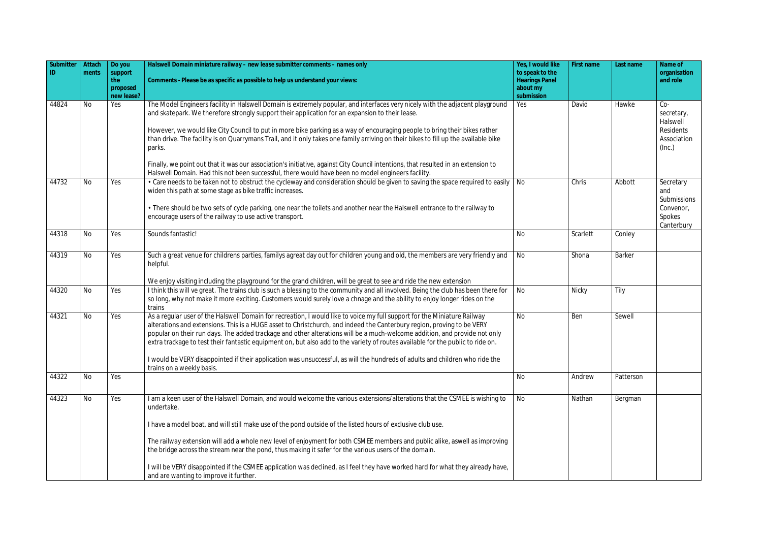| Submitter | Attach    | Do you                     | Halswell Domain miniature railway - new lease submitter comments - names only                                                                                                                                                                                                                                                                                                                                                                                                                                                                                                                                                                                                   | Yes, I would like                                    | First name | Last name     | Name of                                                               |
|-----------|-----------|----------------------------|---------------------------------------------------------------------------------------------------------------------------------------------------------------------------------------------------------------------------------------------------------------------------------------------------------------------------------------------------------------------------------------------------------------------------------------------------------------------------------------------------------------------------------------------------------------------------------------------------------------------------------------------------------------------------------|------------------------------------------------------|------------|---------------|-----------------------------------------------------------------------|
|           | ments     | support<br>the<br>proposed | Comments - Please be as specific as possible to help us understand your views:                                                                                                                                                                                                                                                                                                                                                                                                                                                                                                                                                                                                  | to speak to the<br><b>Hearings Panel</b><br>about my |            |               | organisation<br>and role                                              |
|           |           | new lease?                 |                                                                                                                                                                                                                                                                                                                                                                                                                                                                                                                                                                                                                                                                                 | submission                                           |            |               |                                                                       |
| 44824     | <b>No</b> | Yes                        | The Model Engineers facility in Halswell Domain is extremely popular, and interfaces very nicely with the adjacent playground<br>and skatepark. We therefore strongly support their application for an expansion to their lease.<br>However, we would like City Council to put in more bike parking as a way of encouraging people to bring their bikes rather<br>than drive. The facility is on Quarrymans Trail, and it only takes one family arriving on their bikes to fill up the available bike<br>parks.                                                                                                                                                                 | Yes                                                  | David      | Hawke         | $Co-$<br>secretary,<br>Halswell<br>Residents<br>Association<br>(Inc.) |
|           |           |                            | Finally, we point out that it was our association's initiative, against City Council intentions, that resulted in an extension to<br>Halswell Domain. Had this not been successful, there would have been no model engineers facility.                                                                                                                                                                                                                                                                                                                                                                                                                                          |                                                      |            |               |                                                                       |
| 44732     | No        | Yes                        | • Care needs to be taken not to obstruct the cycleway and consideration should be given to saving the space required to easily<br>widen this path at some stage as bike traffic increases.<br>• There should be two sets of cycle parking, one near the toilets and another near the Halswell entrance to the railway to<br>encourage users of the railway to use active transport.                                                                                                                                                                                                                                                                                             | <b>No</b>                                            | Chris      | Abbott        | Secretary<br>and<br>Submissions<br>Convenor,<br>Spokes                |
| 44318     | No        | Yes                        | Sounds fantastic!                                                                                                                                                                                                                                                                                                                                                                                                                                                                                                                                                                                                                                                               | <b>No</b>                                            | Scarlett   | Conley        | Canterbury                                                            |
|           |           |                            |                                                                                                                                                                                                                                                                                                                                                                                                                                                                                                                                                                                                                                                                                 |                                                      |            |               |                                                                       |
| 44319     | <b>No</b> | Yes                        | Such a great venue for childrens parties, familys agreat day out for children young and old, the members are very friendly and<br>helpful.                                                                                                                                                                                                                                                                                                                                                                                                                                                                                                                                      | No                                                   | Shona      | <b>Barker</b> |                                                                       |
|           |           |                            | We enjoy visiting including the playground for the grand children, will be great to see and ride the new extension                                                                                                                                                                                                                                                                                                                                                                                                                                                                                                                                                              |                                                      |            |               |                                                                       |
| 44320     | No        | Yes                        | I think this will ve great. The trains club is such a blessing to the community and all involved. Being the club has been there for<br>so long, why not make it more exciting. Customers would surely love a chnage and the ability to enjoy longer rides on the<br>trains                                                                                                                                                                                                                                                                                                                                                                                                      | No                                                   | Nicky      | Tily          |                                                                       |
| 44321     | No        | Yes                        | As a regular user of the Halswell Domain for recreation, I would like to voice my full support for the Miniature Railway<br>alterations and extensions. This is a HUGE asset to Christchurch, and indeed the Canterbury region, proving to be VERY<br>popular on their run days. The added trackage and other alterations will be a much-welcome addition, and provide not only<br>extra trackage to test their fantastic equipment on, but also add to the variety of routes available for the public to ride on.<br>I would be VERY disappointed if their application was unsuccessful, as will the hundreds of adults and children who ride the<br>trains on a weekly basis. | <b>No</b>                                            | Ben        | Sewell        |                                                                       |
| 44322     | <b>No</b> | Yes                        |                                                                                                                                                                                                                                                                                                                                                                                                                                                                                                                                                                                                                                                                                 | <b>No</b>                                            | Andrew     | Patterson     |                                                                       |
| 44323     | <b>No</b> | Yes                        | I am a keen user of the Halswell Domain, and would welcome the various extensions/alterations that the CSMEE is wishing to<br>undertake.<br>I have a model boat, and will still make use of the pond outside of the listed hours of exclusive club use.                                                                                                                                                                                                                                                                                                                                                                                                                         | No                                                   | Nathan     | Bergman       |                                                                       |
|           |           |                            | The railway extension will add a whole new level of enjoyment for both CSMEE members and public alike, aswell as improving<br>the bridge across the stream near the pond, thus making it safer for the various users of the domain.<br>I will be VERY disappointed if the CSMEE application was declined, as I feel they have worked hard for what they already have,                                                                                                                                                                                                                                                                                                           |                                                      |            |               |                                                                       |
|           |           |                            | and are wanting to improve it further.                                                                                                                                                                                                                                                                                                                                                                                                                                                                                                                                                                                                                                          |                                                      |            |               |                                                                       |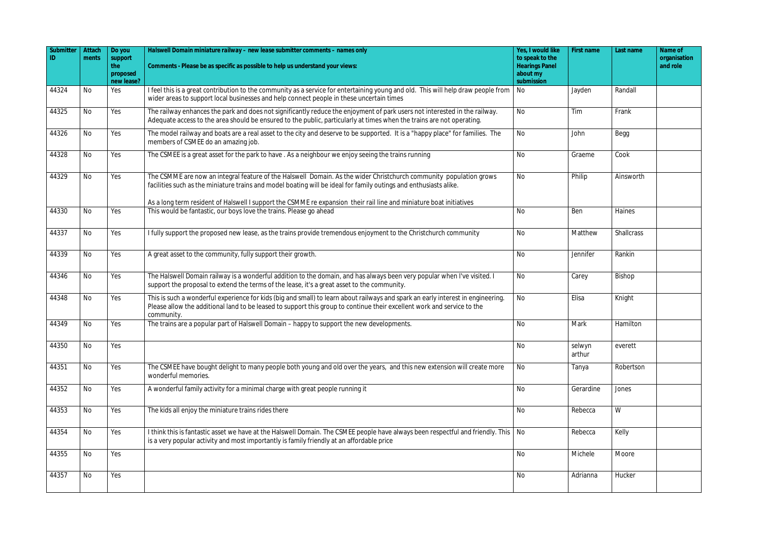| Submitter | Attach    | Do you         | Halswell Domain miniature railway - new lease submitter comments - names only                                                                                                                                                                                             | Yes, I would like                        | First name       | Last name         | Name of                  |
|-----------|-----------|----------------|---------------------------------------------------------------------------------------------------------------------------------------------------------------------------------------------------------------------------------------------------------------------------|------------------------------------------|------------------|-------------------|--------------------------|
|           | ments     | support<br>the | Comments - Please be as specific as possible to help us understand your views:                                                                                                                                                                                            | to speak to the<br><b>Hearings Panel</b> |                  |                   | organisation<br>and role |
|           |           | proposed       |                                                                                                                                                                                                                                                                           | about my                                 |                  |                   |                          |
|           |           | new lease?     |                                                                                                                                                                                                                                                                           | submission                               |                  |                   |                          |
| 44324     | <b>No</b> | Yes            | I feel this is a great contribution to the community as a service for entertaining young and old. This will help draw people from<br>wider areas to support local businesses and help connect people in these uncertain times                                             | No                                       | Jayden           | Randall           |                          |
| 44325     | <b>No</b> | Yes            | The railway enhances the park and does not significantly reduce the enjoyment of park users not interested in the railway.<br>Adequate access to the area should be ensured to the public, particularly at times when the trains are not operating.                       | No                                       | Tim              | Frank             |                          |
| 44326     | No        | Yes            | The model railway and boats are a real asset to the city and deserve to be supported. It is a "happy place" for families. The<br>members of CSMEE do an amazing job.                                                                                                      | No                                       | John             | Begg              |                          |
| 44328     | <b>No</b> | Yes            | The CSMEE is a great asset for the park to have. As a neighbour we enjoy seeing the trains running                                                                                                                                                                        | No                                       | Graeme           | Cook              |                          |
| 44329     | <b>No</b> | Yes            | The CSMME are now an integral feature of the Halswell Domain. As the wider Christchurch community population grows<br>facilities such as the miniature trains and model boating will be ideal for family outings and enthusiasts alike.                                   | <b>No</b>                                | Philip           | Ainsworth         |                          |
|           |           |                | As a long term resident of Halswell I support the CSMME re expansion their rail line and miniature boat initiatives                                                                                                                                                       |                                          |                  |                   |                          |
| 44330     | <b>No</b> | Yes            | This would be fantastic, our boys love the trains. Please go ahead                                                                                                                                                                                                        | No                                       | Ben              | Haines            |                          |
| 44337     | <b>No</b> | Yes            | I fully support the proposed new lease, as the trains provide tremendous enjoyment to the Christchurch community                                                                                                                                                          | <b>No</b>                                | Matthew          | <b>Shallcrass</b> |                          |
| 44339     | No        | Yes            | A great asset to the community, fully support their growth.                                                                                                                                                                                                               | <b>No</b>                                | Jennifer         | Rankin            |                          |
| 44346     | No        | Yes            | The Halswell Domain railway is a wonderful addition to the domain, and has always been very popular when I've visited. I<br>support the proposal to extend the terms of the lease, it's a great asset to the community.                                                   | No                                       | Carey            | Bishop            |                          |
| 44348     | <b>No</b> | Yes            | This is such a wonderful experience for kids (big and small) to learn about railways and spark an early interest in engineering.<br>Please allow the additional land to be leased to support this group to continue their excellent work and service to the<br>community. | No                                       | Elisa            | Knight            |                          |
| 44349     | No        | Yes            | The trains are a popular part of Halswell Domain - happy to support the new developments.                                                                                                                                                                                 | <b>No</b>                                | Mark             | Hamilton          |                          |
| 44350     | No        | Yes            |                                                                                                                                                                                                                                                                           | <b>No</b>                                | selwyn<br>arthur | everett           |                          |
| 44351     | <b>No</b> | Yes            | The CSMEE have bought delight to many people both young and old over the years, and this new extension will create more<br>wonderful memories.                                                                                                                            | No                                       | Tanya            | Robertson         |                          |
| 44352     | <b>No</b> | Yes            | A wonderful family activity for a minimal charge with great people running it                                                                                                                                                                                             | No                                       | Gerardine        | Jones             |                          |
| 44353     | No        | Yes            | The kids all enjoy the miniature trains rides there                                                                                                                                                                                                                       | No                                       | Rebecca          | W                 |                          |
| 44354     | <b>No</b> | Yes            | I think this is fantastic asset we have at the Halswell Domain. The CSMEE people have always been respectful and friendly. This   No<br>is a very popular activity and most importantly is family friendly at an affordable price                                         |                                          | Rebecca          | Kelly             |                          |
| 44355     | <b>No</b> | Yes            |                                                                                                                                                                                                                                                                           | No                                       | Michele          | Moore             |                          |
| 44357     | No        | Yes            |                                                                                                                                                                                                                                                                           | No                                       | Adrianna         | Hucker            |                          |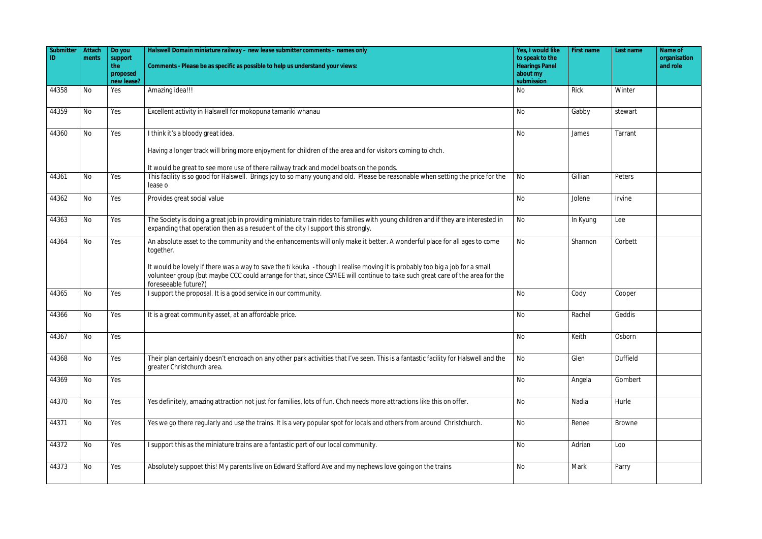| Submitter | Attach    | Do you         | Halswell Domain miniature railway - new lease submitter comments - names only                                                                                                                                                                                                                                                                                                                          | Yes, I would like                        | First name | Last name     | Name of                  |
|-----------|-----------|----------------|--------------------------------------------------------------------------------------------------------------------------------------------------------------------------------------------------------------------------------------------------------------------------------------------------------------------------------------------------------------------------------------------------------|------------------------------------------|------------|---------------|--------------------------|
| ID        | ments     | support<br>the | Comments - Please be as specific as possible to help us understand your views:                                                                                                                                                                                                                                                                                                                         | to speak to the<br><b>Hearings Panel</b> |            |               | organisation<br>and role |
|           |           | proposed       |                                                                                                                                                                                                                                                                                                                                                                                                        | about my                                 |            |               |                          |
|           |           | new lease?     |                                                                                                                                                                                                                                                                                                                                                                                                        | submission                               |            |               |                          |
| 44358     | <b>No</b> | Yes            | Amazing idea!!!                                                                                                                                                                                                                                                                                                                                                                                        | No                                       | Rick       | Winter        |                          |
| 44359     | <b>No</b> | Yes            | Excellent activity in Halswell for mokopuna tamariki whanau                                                                                                                                                                                                                                                                                                                                            | No                                       | Gabby      | stewart       |                          |
| 44360     | <b>No</b> | Yes            | I think it's a bloody great idea.                                                                                                                                                                                                                                                                                                                                                                      | No                                       | James      | Tarrant       |                          |
|           |           |                | Having a longer track will bring more enjoyment for children of the area and for visitors coming to chch.                                                                                                                                                                                                                                                                                              |                                          |            |               |                          |
|           |           |                | It would be great to see more use of there railway track and model boats on the ponds.                                                                                                                                                                                                                                                                                                                 |                                          |            |               |                          |
| 44361     | <b>No</b> | Yes            | This facility is so good for Halswell. Brings joy to so many young and old. Please be reasonable when setting the price for the<br>lease o                                                                                                                                                                                                                                                             | No                                       | Gillian    | Peters        |                          |
| 44362     | <b>No</b> | Yes            | Provides great social value                                                                                                                                                                                                                                                                                                                                                                            | No                                       | Jolene     | Irvine        |                          |
| 44363     | <b>No</b> | Yes            | The Society is doing a great job in providing miniature train rides to families with young children and if they are interested in<br>expanding that operation then as a resudent of the city I support this strongly.                                                                                                                                                                                  | No                                       | In Kyung   | Lee           |                          |
| 44364     | <b>No</b> | Yes            | An absolute asset to the community and the enhancements will only make it better. A wonderful place for all ages to come<br>together.<br>It would be lovely if there was a way to save the tī kōuka - though I realise moving it is probably too big a job for a small<br>volunteer group (but maybe CCC could arrange for that, since CSMEE will continue to take such great care of the area for the | <b>No</b>                                | Shannon    | Corbett       |                          |
| 44365     | <b>No</b> | Yes            | foreseeable future?)<br>I support the proposal. It is a good service in our community.                                                                                                                                                                                                                                                                                                                 | No                                       | Cody       | Cooper        |                          |
|           |           |                |                                                                                                                                                                                                                                                                                                                                                                                                        |                                          |            |               |                          |
| 44366     | <b>No</b> | Yes            | It is a great community asset, at an affordable price.                                                                                                                                                                                                                                                                                                                                                 | No                                       | Rachel     | Geddis        |                          |
| 44367     | No        | Yes            |                                                                                                                                                                                                                                                                                                                                                                                                        | No                                       | Keith      | Osborn        |                          |
| 44368     | No        | Yes            | Their plan certainly doesn't encroach on any other park activities that I've seen. This is a fantastic facility for Halswell and the<br>greater Christchurch area.                                                                                                                                                                                                                                     | No                                       | Glen       | Duffield      |                          |
| 44369     | No        | Yes            |                                                                                                                                                                                                                                                                                                                                                                                                        | No                                       | Angela     | Gombert       |                          |
| 44370     | No        | Yes            | Yes definitely, amazing attraction not just for families, lots of fun. Chch needs more attractions like this on offer.                                                                                                                                                                                                                                                                                 | No                                       | Nadia      | Hurle         |                          |
| 44371     | No        | Yes            | Yes we go there regularly and use the trains. It is a very popular spot for locals and others from around Christchurch.                                                                                                                                                                                                                                                                                | No                                       | Renee      | <b>Browne</b> |                          |
| 44372     | No        | Yes            | I support this as the miniature trains are a fantastic part of our local community.                                                                                                                                                                                                                                                                                                                    | No                                       | Adrian     | Loo           |                          |
| 44373     | No        | Yes            | Absolutely suppoet this! My parents live on Edward Stafford Ave and my nephews love going on the trains                                                                                                                                                                                                                                                                                                | No                                       | Mark       | Parry         |                          |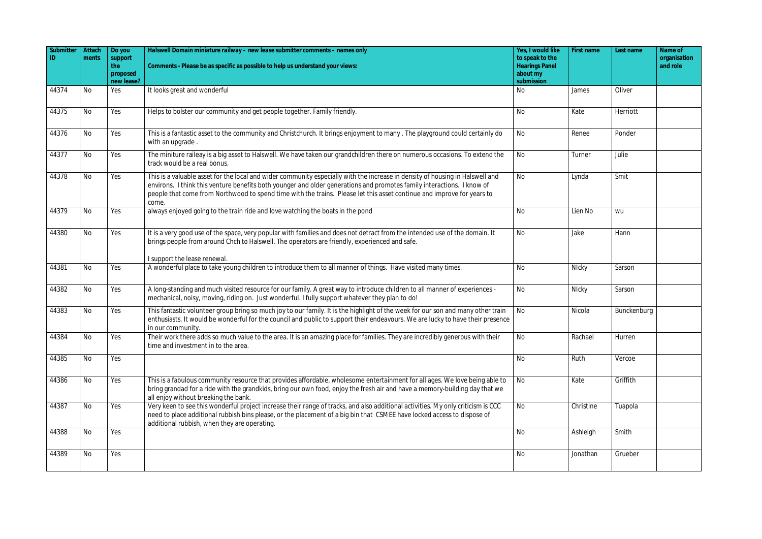| Submitter<br>ID | Attach<br>ments | Do you<br>support             | Halswell Domain miniature railway - new lease submitter comments - names only                                                                                                                                                                                                                                                                                                              | Yes, I would like<br>to speak to the            | First name | Last name   | Name of<br>organisation |
|-----------------|-----------------|-------------------------------|--------------------------------------------------------------------------------------------------------------------------------------------------------------------------------------------------------------------------------------------------------------------------------------------------------------------------------------------------------------------------------------------|-------------------------------------------------|------------|-------------|-------------------------|
|                 |                 | the<br>proposed<br>new lease? | Comments - Please be as specific as possible to help us understand your views:                                                                                                                                                                                                                                                                                                             | <b>Hearings Panel</b><br>about my<br>submission |            |             | and role                |
| 44374           | No              | Yes                           | It looks great and wonderful                                                                                                                                                                                                                                                                                                                                                               | No                                              | James      | Oliver      |                         |
| 44375           | No              | Yes                           | Helps to bolster our community and get people together. Family friendly.                                                                                                                                                                                                                                                                                                                   | <b>No</b>                                       | Kate       | Herriott    |                         |
| 44376           | No              | Yes                           | This is a fantastic asset to the community and Christchurch. It brings enjoyment to many. The playground could certainly do<br>with an upgrade.                                                                                                                                                                                                                                            | No                                              | Renee      | Ponder      |                         |
| 44377           | <b>No</b>       | Yes                           | The miniture raileay is a big asset to Halswell. We have taken our grandchildren there on numerous occasions. To extend the<br>track would be a real bonus.                                                                                                                                                                                                                                | <b>No</b>                                       | Turner     | Julie       |                         |
| 44378           | No              | Yes                           | This is a valuable asset for the local and wider community especially with the increase in density of housing in Halswell and<br>environs. I think this venture benefits both younger and older generations and promotes family interactions. I know of<br>people that come from Northwood to spend time with the trains. Please let this asset continue and improve for years to<br>come. | <b>No</b>                                       | Lynda      | Smit        |                         |
| 44379           | No              | Yes                           | always enjoyed going to the train ride and love watching the boats in the pond                                                                                                                                                                                                                                                                                                             | No                                              | Lien No    | wu          |                         |
| 44380           | No              | Yes                           | It is a very good use of the space, very popular with families and does not detract from the intended use of the domain. It<br>brings people from around Chch to Halswell. The operators are friendly, experienced and safe.                                                                                                                                                               | <b>No</b>                                       | Jake       | Hann        |                         |
| 44381           | No              | Yes                           | I support the lease renewal.<br>A wonderful place to take young children to introduce them to all manner of things. Have visited many times.                                                                                                                                                                                                                                               | No                                              | Nicky      | Sarson      |                         |
| 44382           | <b>No</b>       | Yes                           | A long-standing and much visited resource for our family. A great way to introduce children to all manner of experiences -<br>mechanical, noisy, moving, riding on. Just wonderful. I fully support whatever they plan to do!                                                                                                                                                              | <b>No</b>                                       | Nicky      | Sarson      |                         |
| 44383           | No              | Yes                           | This fantastic volunteer group bring so much joy to our family. It is the highlight of the week for our son and many other train<br>enthusiasts. It would be wonderful for the council and public to support their endeavours. We are lucky to have their presence<br>in our community.                                                                                                    | No                                              | Nicola     | Bunckenburg |                         |
| 44384           | <b>No</b>       | Yes                           | Their work there adds so much value to the area. It is an amazing place for families. They are incredibly generous with their<br>time and investment in to the area.                                                                                                                                                                                                                       | No                                              | Rachael    | Hurren      |                         |
| 44385           | No              | Yes                           |                                                                                                                                                                                                                                                                                                                                                                                            | No                                              | Ruth       | Vercoe      |                         |
| 44386           | No              | Yes                           | This is a fabulous community resource that provides affordable, wholesome entertainment for all ages. We love being able to<br>bring grandad for a ride with the grandkids, bring our own food, enjoy the fresh air and have a memory-building day that we<br>all enjoy without breaking the bank.                                                                                         | No                                              | Kate       | Griffith    |                         |
| 44387           | No              | Yes                           | Very keen to see this wonderful project increase their range of tracks, and also additional activities. My only criticism is CCC<br>need to place additional rubbish bins please, or the placement of a big bin that CSMEE have locked access to dispose of<br>additional rubbish, when they are operating.                                                                                | <b>No</b>                                       | Christine  | Tuapola     |                         |
| 44388           | No              | Yes                           |                                                                                                                                                                                                                                                                                                                                                                                            | <b>No</b>                                       | Ashleigh   | Smith       |                         |
| 44389           | No              | Yes                           |                                                                                                                                                                                                                                                                                                                                                                                            | No                                              | Jonathan   | Grueber     |                         |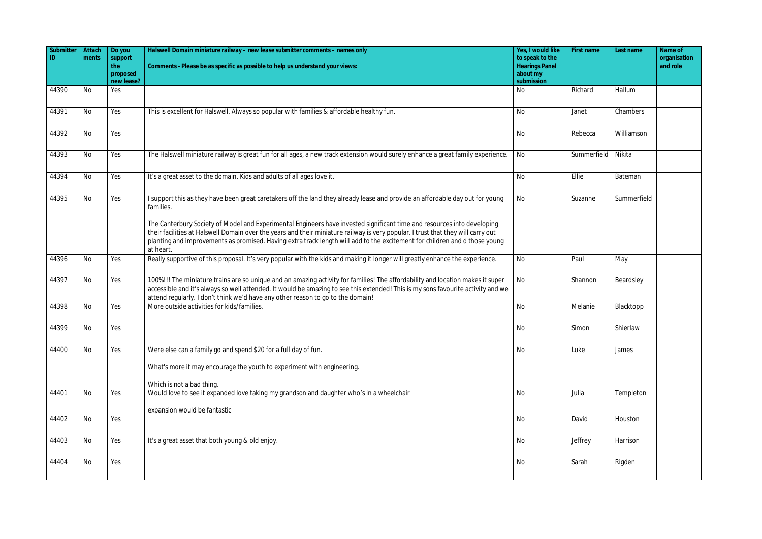| Submitter<br>ID. | Attach    | Do you                 | Halswell Domain miniature railway - new lease submitter comments - names only                                                                                                                                                                                                                                                                                                                          | Yes, I would like<br>to speak to the | First name  | Last name   | Name of                  |
|------------------|-----------|------------------------|--------------------------------------------------------------------------------------------------------------------------------------------------------------------------------------------------------------------------------------------------------------------------------------------------------------------------------------------------------------------------------------------------------|--------------------------------------|-------------|-------------|--------------------------|
|                  | ments     | support<br>the         | Comments - Please be as specific as possible to help us understand your views:                                                                                                                                                                                                                                                                                                                         | <b>Hearings Panel</b>                |             |             | organisation<br>and role |
|                  |           | proposed<br>new lease? |                                                                                                                                                                                                                                                                                                                                                                                                        | about my<br>submission               |             |             |                          |
| 44390            | <b>No</b> | Yes                    |                                                                                                                                                                                                                                                                                                                                                                                                        | No                                   | Richard     | Hallum      |                          |
|                  |           |                        |                                                                                                                                                                                                                                                                                                                                                                                                        |                                      |             |             |                          |
| 44391            | <b>No</b> | Yes                    | This is excellent for Halswell. Always so popular with families & affordable healthy fun.                                                                                                                                                                                                                                                                                                              | No                                   | Janet       | Chambers    |                          |
| 44392            | No        | Yes                    |                                                                                                                                                                                                                                                                                                                                                                                                        | <b>No</b>                            | Rebecca     | Williamson  |                          |
| 44393            | <b>No</b> | Yes                    | The Halswell miniature railway is great fun for all ages, a new track extension would surely enhance a great family experience.                                                                                                                                                                                                                                                                        | No                                   | Summerfield | Nikita      |                          |
| 44394            | <b>No</b> | Yes                    | It's a great asset to the domain. Kids and adults of all ages love it.                                                                                                                                                                                                                                                                                                                                 | <b>No</b>                            | Ellie       | Bateman     |                          |
| 44395            | <b>No</b> | Yes                    | I support this as they have been great caretakers off the land they already lease and provide an affordable day out for young<br>families.                                                                                                                                                                                                                                                             | No                                   | Suzanne     | Summerfield |                          |
|                  |           |                        | The Canterbury Society of Model and Experimental Engineers have invested significant time and resources into developing<br>their facilities at Halswell Domain over the years and their miniature railway is very popular. I trust that they will carry out<br>planting and improvements as promised. Having extra track length will add to the excitement for children and d those young<br>at heart. |                                      |             |             |                          |
| 44396            | No        | Yes                    | Really supportive of this proposal. It's very popular with the kids and making it longer will greatly enhance the experience.                                                                                                                                                                                                                                                                          | No                                   | Paul        | May         |                          |
| 44397            | <b>No</b> | Yes                    | 100%!!! The miniature trains are so unique and an amazing activity for families! The affordability and location makes it super<br>accessible and it's always so well attended. It would be amazing to see this extended! This is my sons favourite activity and we<br>attend regularly. I don't think we'd have any other reason to go to the domain!                                                  | No                                   | Shannon     | Beardsley   |                          |
| 44398            | No        | Yes                    | More outside activities for kids/families.                                                                                                                                                                                                                                                                                                                                                             | <b>No</b>                            | Melanie     | Blacktopp   |                          |
| 44399            | No        | Yes                    |                                                                                                                                                                                                                                                                                                                                                                                                        | No                                   | Simon       | Shierlaw    |                          |
| 44400            | No        | Yes                    | Were else can a family go and spend \$20 for a full day of fun.<br>What's more it may encourage the youth to experiment with engineering.                                                                                                                                                                                                                                                              | No                                   | Luke        | James       |                          |
|                  |           |                        | Which is not a bad thing.                                                                                                                                                                                                                                                                                                                                                                              |                                      |             |             |                          |
| 44401            | <b>No</b> | Yes                    | Would love to see it expanded love taking my grandson and daughter who's in a wheelchair                                                                                                                                                                                                                                                                                                               | No                                   | Julia       | Templeton   |                          |
|                  |           |                        | expansion would be fantastic                                                                                                                                                                                                                                                                                                                                                                           |                                      |             |             |                          |
| 44402            | No        | Yes                    |                                                                                                                                                                                                                                                                                                                                                                                                        | No                                   | David       | Houston     |                          |
| 44403            | <b>No</b> | Yes                    | It's a great asset that both young & old enjoy.                                                                                                                                                                                                                                                                                                                                                        | <b>No</b>                            | Jeffrey     | Harrison    |                          |
| 44404            | <b>No</b> | Yes                    |                                                                                                                                                                                                                                                                                                                                                                                                        | No                                   | Sarah       | Rigden      |                          |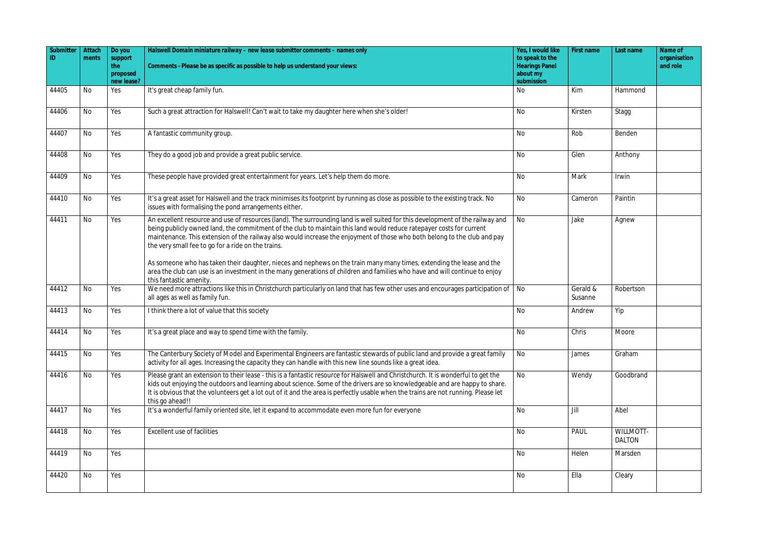| Submitter | Attach    | Do you            | Halswell Domain miniature railway - new lease submitter comments - names only                                                                                                                                                                                                                                                                                                                                                             | Yes, I would like                        | First name          | Last name                         | Name of                  |
|-----------|-----------|-------------------|-------------------------------------------------------------------------------------------------------------------------------------------------------------------------------------------------------------------------------------------------------------------------------------------------------------------------------------------------------------------------------------------------------------------------------------------|------------------------------------------|---------------------|-----------------------------------|--------------------------|
| ID        | ments     | support<br>the    | Comments - Please be as specific as possible to help us understand your views:                                                                                                                                                                                                                                                                                                                                                            | to speak to the<br><b>Hearings Panel</b> |                     |                                   | organisation<br>and role |
|           |           | proposed          |                                                                                                                                                                                                                                                                                                                                                                                                                                           | about my                                 |                     |                                   |                          |
| 44405     | No        | new lease?<br>Yes | It's great cheap family fun.                                                                                                                                                                                                                                                                                                                                                                                                              | submission<br>No                         | Kim                 | Hammond                           |                          |
|           |           |                   |                                                                                                                                                                                                                                                                                                                                                                                                                                           |                                          |                     |                                   |                          |
| 44406     | No        | Yes               | Such a great attraction for Halswell! Can't wait to take my daughter here when she's older!                                                                                                                                                                                                                                                                                                                                               | No                                       | Kirsten             | Stagg                             |                          |
| 44407     | No        | Yes               | A fantastic community group.                                                                                                                                                                                                                                                                                                                                                                                                              | <b>No</b>                                | Rob                 | Benden                            |                          |
| 44408     | <b>No</b> | Yes               | They do a good job and provide a great public service.                                                                                                                                                                                                                                                                                                                                                                                    | No                                       | Glen                | Anthony                           |                          |
| 44409     | No        | Yes               | These people have provided great entertainment for years. Let's help them do more.                                                                                                                                                                                                                                                                                                                                                        | <b>No</b>                                | Mark                | Irwin                             |                          |
| 44410     | No        | Yes               | It's a great asset for Halswell and the track minimises its footprint by running as close as possible to the existing track. No<br>issues with formalising the pond arrangements either.                                                                                                                                                                                                                                                  | No                                       | Cameron             | Paintin                           |                          |
| 44411     | No        | Yes               | An excellent resource and use of resources (land). The surrounding land is well suited for this development of the railway and<br>being publicly owned land, the commitment of the club to maintain this land would reduce ratepayer costs for current<br>maintenance. This extension of the railway also would increase the enjoyment of those who both belong to the club and pay<br>the very small fee to go for a ride on the trains. | No                                       | Jake                | Agnew                             |                          |
|           |           |                   | As someone who has taken their daughter, nieces and nephews on the train many many times, extending the lease and the<br>area the club can use is an investment in the many generations of children and families who have and will continue to enjoy<br>this fantastic amenity.                                                                                                                                                           |                                          |                     |                                   |                          |
| 44412     | No        | Yes               | We need more attractions like this in Christchurch particularly on land that has few other uses and encourages participation of<br>all ages as well as family fun.                                                                                                                                                                                                                                                                        | No                                       | Gerald &<br>Susanne | Robertson                         |                          |
| 44413     | No        | Yes               | I think there a lot of value that this society                                                                                                                                                                                                                                                                                                                                                                                            | <b>No</b>                                | Andrew              | Yip                               |                          |
| 44414     | No        | Yes               | It's a great place and way to spend time with the family.                                                                                                                                                                                                                                                                                                                                                                                 | No                                       | Chris               | Moore                             |                          |
| 44415     | No        | Yes               | The Canterbury Society of Model and Experimental Engineers are fantastic stewards of public land and provide a great family<br>activity for all ages. Increasing the capacity they can handle with this new line sounds like a great idea.                                                                                                                                                                                                | No                                       | James               | Graham                            |                          |
| 44416     | No        | Yes               | Please grant an extension to their lease - this is a fantastic resource for Halswell and Christchurch. It is wonderful to get the<br>kids out enjoying the outdoors and learning about science. Some of the drivers are so knowledgeable and are happy to share.<br>It is obvious that the volunteers get a lot out of it and the area is perfectly usable when the trains are not running. Please let<br>this go ahead!!                 | <b>No</b>                                | Wendy               | Goodbrand                         |                          |
| 44417     | No        | Yes               | It's a wonderful family oriented site, let it expand to accommodate even more fun for everyone                                                                                                                                                                                                                                                                                                                                            | <b>No</b>                                | Jill                | Abel                              |                          |
| 44418     | No        | Yes               | Excellent use of facilities                                                                                                                                                                                                                                                                                                                                                                                                               | <b>No</b>                                | PAUL                | <b>WILLMOTT-</b><br><b>DALTON</b> |                          |
| 44419     | No        | Yes               |                                                                                                                                                                                                                                                                                                                                                                                                                                           | No                                       | Helen               | Marsden                           |                          |
| 44420     | No        | Yes               |                                                                                                                                                                                                                                                                                                                                                                                                                                           | <b>No</b>                                | Ella                | Cleary                            |                          |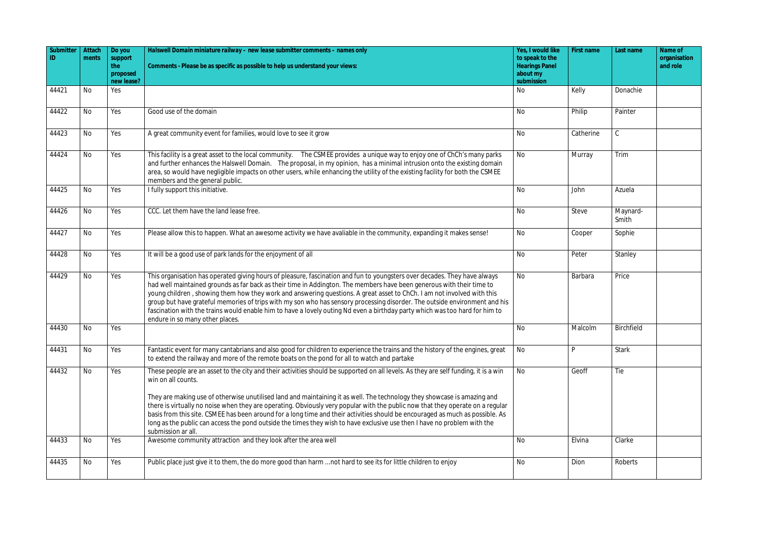| Submitter | Attach<br>ments | Do you<br>support             | Halswell Domain miniature railway - new lease submitter comments - names only                                                                                                                                                                                                                                                                                                                                                                                                                                                                                                                                                                                                                              | Yes, I would like<br>to speak to the            | First name | Last name         | Name of<br>organisation |
|-----------|-----------------|-------------------------------|------------------------------------------------------------------------------------------------------------------------------------------------------------------------------------------------------------------------------------------------------------------------------------------------------------------------------------------------------------------------------------------------------------------------------------------------------------------------------------------------------------------------------------------------------------------------------------------------------------------------------------------------------------------------------------------------------------|-------------------------------------------------|------------|-------------------|-------------------------|
|           |                 | the<br>proposed<br>new lease? | Comments - Please be as specific as possible to help us understand your views:                                                                                                                                                                                                                                                                                                                                                                                                                                                                                                                                                                                                                             | <b>Hearings Panel</b><br>about my<br>submission |            |                   | and role                |
| 44421     | <b>No</b>       | Yes                           |                                                                                                                                                                                                                                                                                                                                                                                                                                                                                                                                                                                                                                                                                                            | No                                              | Kelly      | Donachie          |                         |
| 44422     | <b>No</b>       | Yes                           | Good use of the domain                                                                                                                                                                                                                                                                                                                                                                                                                                                                                                                                                                                                                                                                                     | No                                              | Philip     | Painter           |                         |
| 44423     | <b>No</b>       | Yes                           | A great community event for families, would love to see it grow                                                                                                                                                                                                                                                                                                                                                                                                                                                                                                                                                                                                                                            | <b>No</b>                                       | Catherine  | $\mathsf C$       |                         |
| 44424     | <b>No</b>       | Yes                           | This facility is a great asset to the local community. The CSMEE provides a unique way to enjoy one of ChCh's many parks<br>and further enhances the Halswell Domain. The proposal, in my opinion, has a minimal intrusion onto the existing domain<br>area, so would have negligible impacts on other users, while enhancing the utility of the existing facility for both the CSMEE<br>members and the general public.                                                                                                                                                                                                                                                                                   | No                                              | Murray     | Trim              |                         |
| 44425     | <b>No</b>       | Yes                           | I fully support this initiative.                                                                                                                                                                                                                                                                                                                                                                                                                                                                                                                                                                                                                                                                           | <b>No</b>                                       | John       | Azuela            |                         |
| 44426     | <b>No</b>       | Yes                           | CCC. Let them have the land lease free.                                                                                                                                                                                                                                                                                                                                                                                                                                                                                                                                                                                                                                                                    | No                                              | Steve      | Maynard-<br>Smith |                         |
| 44427     | No              | Yes                           | Please allow this to happen. What an awesome activity we have avaliable in the community, expanding it makes sense!                                                                                                                                                                                                                                                                                                                                                                                                                                                                                                                                                                                        | No                                              | Cooper     | Sophie            |                         |
| 44428     | <b>No</b>       | Yes                           | It will be a good use of park lands for the enjoyment of all                                                                                                                                                                                                                                                                                                                                                                                                                                                                                                                                                                                                                                               | No                                              | Peter      | Stanley           |                         |
| 44429     | <b>No</b>       | Yes                           | This organisation has operated giving hours of pleasure, fascination and fun to youngsters over decades. They have always<br>had well maintained grounds as far back as their time in Addington. The members have been generous with their time to<br>young children, showing them how they work and answering questions. A great asset to ChCh. I am not involved with this<br>group but have grateful memories of trips with my son who has sensory processing disorder. The outside environment and his<br>fascination with the trains would enable him to have a lovely outing Nd even a birthday party which was too hard for him to<br>endure in so many other places.                               | No                                              | Barbara    | Price             |                         |
| 44430     | No              | Yes                           |                                                                                                                                                                                                                                                                                                                                                                                                                                                                                                                                                                                                                                                                                                            | No                                              | Malcolm    | Birchfield        |                         |
| 44431     | <b>No</b>       | Yes                           | Fantastic event for many cantabrians and also good for children to experience the trains and the history of the engines, great<br>to extend the railway and more of the remote boats on the pond for all to watch and partake                                                                                                                                                                                                                                                                                                                                                                                                                                                                              | No                                              | P          | Stark             |                         |
| 44432     | No              | Yes                           | These people are an asset to the city and their activities should be supported on all levels. As they are self funding, it is a win<br>win on all counts.<br>They are making use of otherwise unutilised land and maintaining it as well. The technology they showcase is amazing and<br>there is virtually no noise when they are operating. Obviously very popular with the public now that they operate on a regular<br>basis from this site. CSMEE has been around for a long time and their activities should be encouraged as much as possible. As<br>long as the public can access the pond outside the times they wish to have exclusive use then I have no problem with the<br>submission ar all. | No                                              | Geoff      | Tie               |                         |
| 44433     | No              | Yes                           | Awesome community attraction and they look after the area well                                                                                                                                                                                                                                                                                                                                                                                                                                                                                                                                                                                                                                             | <b>No</b>                                       | Elvina     | Clarke            |                         |
| 44435     | <b>No</b>       | Yes                           | Public place just give it to them, the do more good than harm  not hard to see its for little children to enjoy                                                                                                                                                                                                                                                                                                                                                                                                                                                                                                                                                                                            | No                                              | Dion       | Roberts           |                         |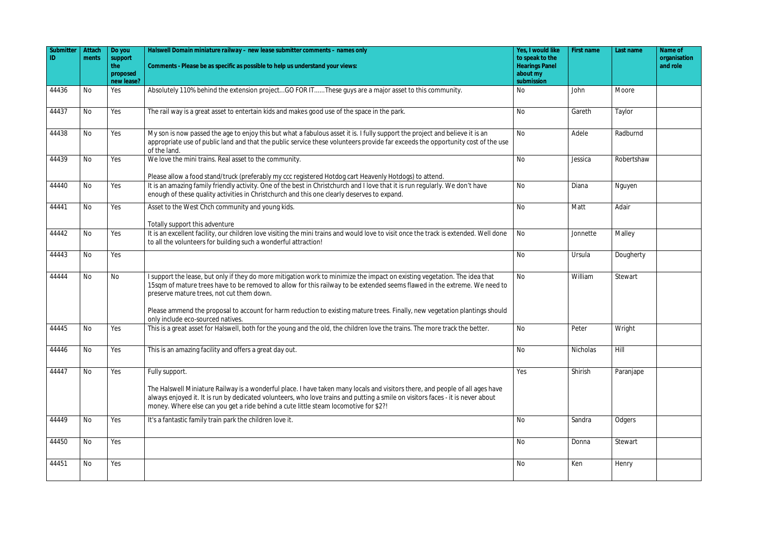| Submitter<br>ID. | Attach<br>ments | Do you<br>support<br>the | Halswell Domain miniature railway - new lease submitter comments - names only<br>Comments - Please be as specific as possible to help us understand your views:                                                                                                                                      | Yes, I would like<br>to speak to the<br><b>Hearings Panel</b> | First name | Last name  | Name of<br>organisation<br>and role |
|------------------|-----------------|--------------------------|------------------------------------------------------------------------------------------------------------------------------------------------------------------------------------------------------------------------------------------------------------------------------------------------------|---------------------------------------------------------------|------------|------------|-------------------------------------|
|                  |                 | proposed<br>new lease?   |                                                                                                                                                                                                                                                                                                      | about my<br>submission                                        |            |            |                                     |
| 44436            | <b>No</b>       | Yes                      | Absolutely 110% behind the extension projectGO FOR ITThese guys are a major asset to this community.                                                                                                                                                                                                 | No                                                            | John       | Moore      |                                     |
| 44437            | <b>No</b>       | Yes                      | The rail way is a great asset to entertain kids and makes good use of the space in the park.                                                                                                                                                                                                         | No                                                            | Gareth     | Taylor     |                                     |
| 44438            | No              | Yes                      | My son is now passed the age to enjoy this but what a fabulous asset it is. I fully support the project and believe it is an<br>appropriate use of public land and that the public service these volunteers provide far exceeds the opportunity cost of the use<br>of the land.                      | <b>No</b>                                                     | Adele      | Radburnd   |                                     |
| 44439            | <b>No</b>       | Yes                      | We love the mini trains. Real asset to the community.<br>Please allow a food stand/truck (preferably my ccc registered Hotdog cart Heavenly Hotdogs) to attend.                                                                                                                                      | <b>No</b>                                                     | Jessica    | Robertshaw |                                     |
| 44440            | <b>No</b>       | Yes                      | It is an amazing family friendly activity. One of the best in Christchurch and I love that it is run regularly. We don't have<br>enough of these quality activities in Christchurch and this one clearly deserves to expand.                                                                         | <b>No</b>                                                     | Diana      | Nguyen     |                                     |
| 44441            | No              | Yes                      | Asset to the West Chch community and young kids.<br>Totally support this adventure                                                                                                                                                                                                                   | <b>No</b>                                                     | Matt       | Adair      |                                     |
| 44442            | <b>No</b>       | Yes                      | It is an excellent facility, our children love visiting the mini trains and would love to visit once the track is extended. Well done<br>to all the volunteers for building such a wonderful attraction!                                                                                             | No                                                            | Jonnette   | Malley     |                                     |
| 44443            | <b>No</b>       | Yes                      |                                                                                                                                                                                                                                                                                                      | <b>No</b>                                                     | Ursula     | Dougherty  |                                     |
| 44444            | No              | No                       | I support the lease, but only if they do more mitigation work to minimize the impact on existing vegetation. The idea that<br>15sqm of mature trees have to be removed to allow for this railway to be extended seems flawed in the extreme. We need to<br>preserve mature trees, not cut them down. | <b>No</b>                                                     | William    | Stewart    |                                     |
|                  |                 |                          | Please ammend the proposal to account for harm reduction to existing mature trees. Finally, new vegetation plantings should<br>only include eco-sourced natives.                                                                                                                                     |                                                               |            |            |                                     |
| 44445            | No              | Yes                      | This is a great asset for Halswell, both for the young and the old, the children love the trains. The more track the better.                                                                                                                                                                         | No                                                            | Peter      | Wright     |                                     |
| 44446            | <b>No</b>       | Yes                      | This is an amazing facility and offers a great day out.                                                                                                                                                                                                                                              | No                                                            | Nicholas   | Hill       |                                     |
| 44447            | <b>No</b>       | Yes                      | Fully support.<br>The Halswell Miniature Railway is a wonderful place. I have taken many locals and visitors there, and people of all ages have<br>always enjoyed it. It is run by dedicated volunteers, who love trains and putting a smile on visitors faces - it is never about                   | Yes                                                           | Shirish    | Paranjape  |                                     |
|                  |                 |                          | money. Where else can you get a ride behind a cute little steam locomotive for \$2?!                                                                                                                                                                                                                 |                                                               |            |            |                                     |
| 44449            | <b>No</b>       | Yes                      | It's a fantastic family train park the children love it.                                                                                                                                                                                                                                             | No                                                            | Sandra     | Odgers     |                                     |
| 44450            | No              | Yes                      |                                                                                                                                                                                                                                                                                                      | No                                                            | Donna      | Stewart    |                                     |
| 44451            | <b>No</b>       | Yes                      |                                                                                                                                                                                                                                                                                                      | No                                                            | Ken        | Henry      |                                     |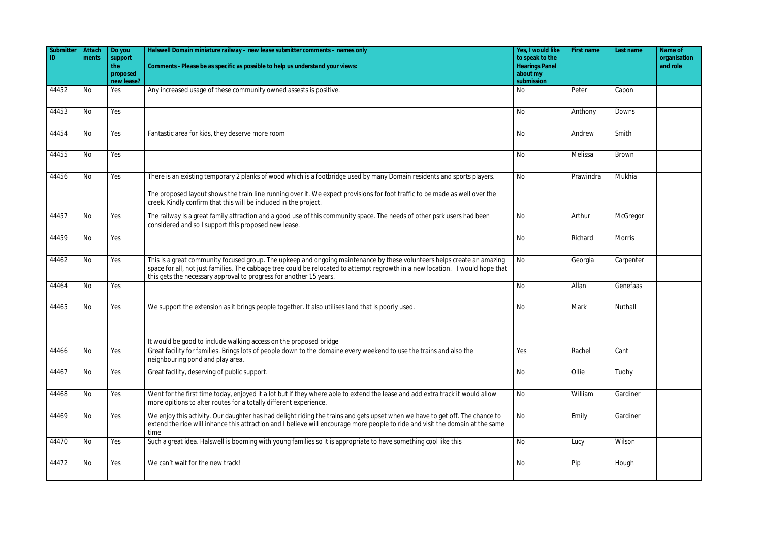| Submitter<br>ID | Attach<br>ments | Do you<br>support      | Halswell Domain miniature railway - new lease submitter comments - names only                                                                                                                                                                                                                                                   | Yes, I would like<br>to speak to the | First name | Last name     | Name of<br>organisation |
|-----------------|-----------------|------------------------|---------------------------------------------------------------------------------------------------------------------------------------------------------------------------------------------------------------------------------------------------------------------------------------------------------------------------------|--------------------------------------|------------|---------------|-------------------------|
|                 |                 | the                    | Comments - Please be as specific as possible to help us understand your views:                                                                                                                                                                                                                                                  | <b>Hearings Panel</b>                |            |               | and role                |
|                 |                 | proposed<br>new lease? |                                                                                                                                                                                                                                                                                                                                 | about my<br>submission               |            |               |                         |
| 44452           | No              | Yes                    | Any increased usage of these community owned assests is positive.                                                                                                                                                                                                                                                               | No                                   | Peter      | Capon         |                         |
| 44453           | No              | Yes                    |                                                                                                                                                                                                                                                                                                                                 | <b>No</b>                            | Anthony    | Downs         |                         |
| 44454           | No              | Yes                    | Fantastic area for kids, they deserve more room                                                                                                                                                                                                                                                                                 | <b>No</b>                            | Andrew     | Smith         |                         |
| 44455           | <b>No</b>       | Yes                    |                                                                                                                                                                                                                                                                                                                                 | No                                   | Melissa    | <b>Brown</b>  |                         |
| 44456           | No              | Yes                    | There is an existing temporary 2 planks of wood which is a footbridge used by many Domain residents and sports players.                                                                                                                                                                                                         | <b>No</b>                            | Prawindra  | Mukhia        |                         |
|                 |                 |                        | The proposed layout shows the train line running over it. We expect provisions for foot traffic to be made as well over the<br>creek. Kindly confirm that this will be included in the project.                                                                                                                                 |                                      |            |               |                         |
| 44457           | No              | Yes                    | The railway is a great family attraction and a good use of this community space. The needs of other psrk users had been<br>considered and so I support this proposed new lease.                                                                                                                                                 | <b>No</b>                            | Arthur     | McGregor      |                         |
| 44459           | No              | Yes                    |                                                                                                                                                                                                                                                                                                                                 | <b>No</b>                            | Richard    | <b>Morris</b> |                         |
| 44462           | No              | Yes                    | This is a great community focused group. The upkeep and ongoing maintenance by these volunteers helps create an amazing<br>space for all, not just families. The cabbage tree could be relocated to attempt regrowth in a new location. I would hope that<br>this gets the necessary approval to progress for another 15 years. | <b>No</b>                            | Georgia    | Carpenter     |                         |
| 44464           | No              | Yes                    |                                                                                                                                                                                                                                                                                                                                 | <b>No</b>                            | Allan      | Genefaas      |                         |
| 44465           | No              | Yes                    | We support the extension as it brings people together. It also utilises land that is poorly used.                                                                                                                                                                                                                               | No                                   | Mark       | Nuthall       |                         |
|                 |                 |                        | It would be good to include walking access on the proposed bridge                                                                                                                                                                                                                                                               |                                      |            |               |                         |
| 44466           | No              | Yes                    | Great facility for families. Brings lots of people down to the domaine every weekend to use the trains and also the<br>neighbouring pond and play area.                                                                                                                                                                         | Yes                                  | Rachel     | Cant          |                         |
| 44467           | No              | Yes                    | Great facility, deserving of public support.                                                                                                                                                                                                                                                                                    | No                                   | Ollie      | Tuohy         |                         |
| 44468           | No              | Yes                    | Went for the first time today, enjoyed it a lot but if they where able to extend the lease and add extra track it would allow<br>more opitions to alter routes for a totally different experience.                                                                                                                              | <b>No</b>                            | William    | Gardiner      |                         |
| 44469           | No              | Yes                    | We enjoy this activity. Our daughter has had delight riding the trains and gets upset when we have to get off. The chance to<br>extend the ride will inhance this attraction and I believe will encourage more people to ride and visit the domain at the same<br>time                                                          | <b>No</b>                            | Emily      | Gardiner      |                         |
| 44470           | No              | Yes                    | Such a great idea. Halswell is booming with young families so it is appropriate to have something cool like this                                                                                                                                                                                                                | No                                   | Lucy       | Wilson        |                         |
| 44472           | No              | Yes                    | We can't wait for the new track!                                                                                                                                                                                                                                                                                                | <b>No</b>                            | Pip        | Hough         |                         |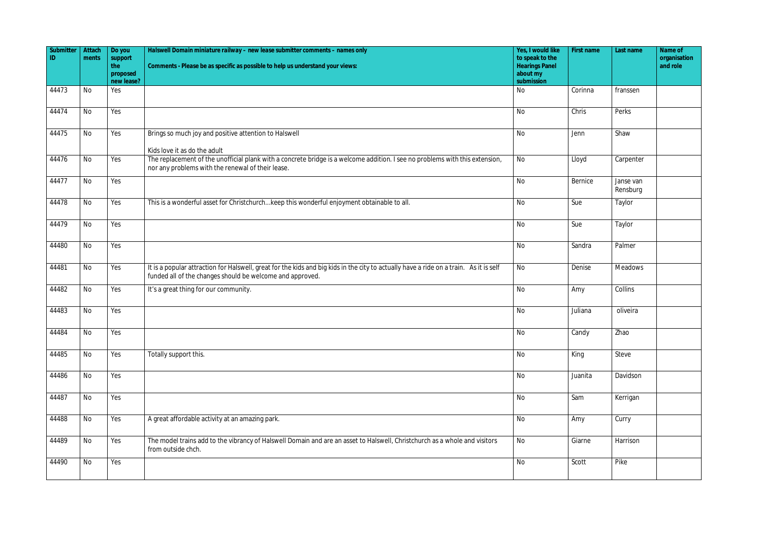| Submitter<br>ID. | Attach<br>ments | Do you<br>support<br>the | Halswell Domain miniature railway - new lease submitter comments - names only<br>Comments - Please be as specific as possible to help us understand your views:                                                   | Yes, I would like<br>to speak to the<br><b>Hearings Panel</b> | First name | Last name             | Name of<br>organisation<br>and role |
|------------------|-----------------|--------------------------|-------------------------------------------------------------------------------------------------------------------------------------------------------------------------------------------------------------------|---------------------------------------------------------------|------------|-----------------------|-------------------------------------|
|                  |                 | proposed<br>new lease?   |                                                                                                                                                                                                                   | about my<br>submission                                        |            |                       |                                     |
| 44473            | No              | Yes                      |                                                                                                                                                                                                                   | No                                                            | Corinna    | franssen              |                                     |
| 44474            | No              | Yes                      |                                                                                                                                                                                                                   | <b>No</b>                                                     | Chris      | Perks                 |                                     |
| 44475            | No              | Yes                      | Brings so much joy and positive attention to Halswell                                                                                                                                                             | <b>No</b>                                                     | Jenn       | Shaw                  |                                     |
| 44476            | <b>No</b>       | Yes                      | Kids love it as do the adult<br>The replacement of the unofficial plank with a concrete bridge is a welcome addition. I see no problems with this extension,<br>nor any problems with the renewal of their lease. | No                                                            | Lloyd      | Carpenter             |                                     |
| 44477            | No              | Yes                      |                                                                                                                                                                                                                   | <b>No</b>                                                     | Bernice    | Janse van<br>Rensburg |                                     |
| 44478            | No              | Yes                      | This is a wonderful asset for Christchurchkeep this wonderful enjoyment obtainable to all.                                                                                                                        | No                                                            | Sue        | Taylor                |                                     |
| 44479            | No              | Yes                      |                                                                                                                                                                                                                   | <b>No</b>                                                     | Sue        | Taylor                |                                     |
| 44480            | No              | Yes                      |                                                                                                                                                                                                                   | No                                                            | Sandra     | Palmer                |                                     |
| 44481            | No              | Yes                      | It is a popular attraction for Halswell, great for the kids and big kids in the city to actually have a ride on a train. As it is self<br>funded all of the changes should be welcome and approved.               | <b>No</b>                                                     | Denise     | <b>Meadows</b>        |                                     |
| 44482            | No              | Yes                      | It's a great thing for our community.                                                                                                                                                                             | <b>No</b>                                                     | Amy        | Collins               |                                     |
| 44483            | No              | Yes                      |                                                                                                                                                                                                                   | <b>No</b>                                                     | Juliana    | oliveira              |                                     |
| 44484            | N <sub>0</sub>  | Yes                      |                                                                                                                                                                                                                   | No                                                            | Candy      | Zhao                  |                                     |
| 44485            | No              | Yes                      | Totally support this.                                                                                                                                                                                             | No                                                            | King       | Steve                 |                                     |
| 44486            | No              | Yes                      |                                                                                                                                                                                                                   | <b>No</b>                                                     | Juanita    | Davidson              |                                     |
| 44487            | No              | Yes                      |                                                                                                                                                                                                                   | <b>No</b>                                                     | Sam        | Kerrigan              |                                     |
| 44488            | No              | Yes                      | A great affordable activity at an amazing park.                                                                                                                                                                   | No                                                            | Amy        | Curry                 |                                     |
| 44489            | No              | Yes                      | The model trains add to the vibrancy of Halswell Domain and are an asset to Halswell, Christchurch as a whole and visitors<br>from outside chch.                                                                  | No                                                            | Giarne     | Harrison              |                                     |
| 44490            | No              | Yes                      |                                                                                                                                                                                                                   | $\overline{N}$                                                | Scott      | Pike                  |                                     |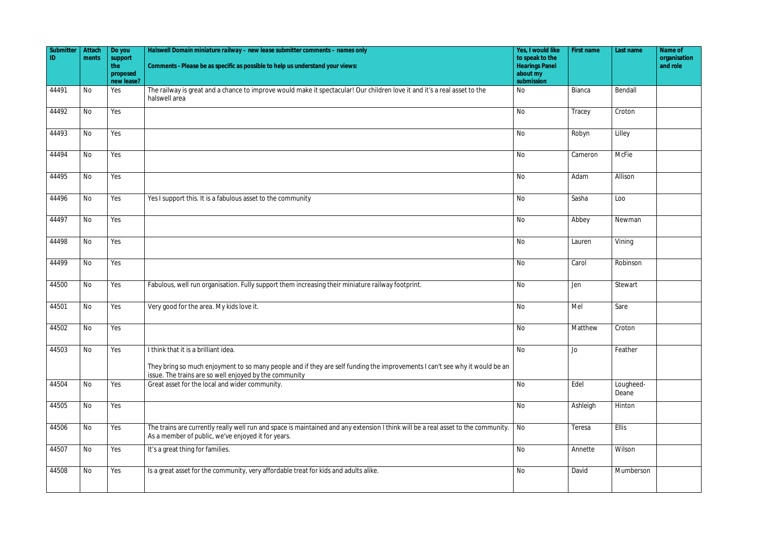| Submitter | Attach    | Do you            | Halswell Domain miniature railway - new lease submitter comments - names only                                                                                                           | Yes, I would like                        | First name | Last name          | Name of                  |
|-----------|-----------|-------------------|-----------------------------------------------------------------------------------------------------------------------------------------------------------------------------------------|------------------------------------------|------------|--------------------|--------------------------|
| ID.       | ments     | support<br>the    | Comments - Please be as specific as possible to help us understand your views:                                                                                                          | to speak to the<br><b>Hearings Panel</b> |            |                    | organisation<br>and role |
|           |           | proposed          |                                                                                                                                                                                         | about my                                 |            |                    |                          |
| 44491     | No        | new lease?<br>Yes | The railway is great and a chance to improve would make it spectacular! Our children love it and it's a real asset to the                                                               | submission<br>No                         | Bianca     | Bendall            |                          |
|           |           |                   | halswell area                                                                                                                                                                           |                                          |            |                    |                          |
| 44492     | No        | Yes               |                                                                                                                                                                                         | No                                       | Tracey     | Croton             |                          |
| 44493     | <b>No</b> | Yes               |                                                                                                                                                                                         | No                                       | Robyn      | Lilley             |                          |
| 44494     | <b>No</b> | Yes               |                                                                                                                                                                                         | No                                       | Cameron    | McFie              |                          |
| 44495     | No        | Yes               |                                                                                                                                                                                         | No                                       | Adam       | Allison            |                          |
| 44496     | <b>No</b> | Yes               | Yes I support this. It is a fabulous asset to the community                                                                                                                             | No                                       | Sasha      | Loo                |                          |
| 44497     | <b>No</b> | Yes               |                                                                                                                                                                                         | No                                       | Abbey      | Newman             |                          |
| 44498     | No        | Yes               |                                                                                                                                                                                         | No                                       | Lauren     | Vining             |                          |
| 44499     | No        | Yes               |                                                                                                                                                                                         | No                                       | Carol      | Robinson           |                          |
| 44500     | No        | Yes               | Fabulous, well run organisation. Fully support them increasing their miniature railway footprint.                                                                                       | No                                       | Jen        | Stewart            |                          |
| 44501     | No        | Yes               | Very good for the area. My kids love it.                                                                                                                                                | No                                       | Mel        | Sare               |                          |
| 44502     | No        | Yes               |                                                                                                                                                                                         | No                                       | Matthew    | Croton             |                          |
| 44503     | No        | Yes               | I think that it is a brilliant idea.<br>They bring so much enjoyment to so many people and if they are self funding the improvements I can't see why it would be an                     | No                                       | Jo         | Feather            |                          |
| 44504     | No        | Yes               | issue. The trains are so well enjoyed by the community<br>Great asset for the local and wider community.                                                                                | No                                       | Edel       | Lougheed-<br>Deane |                          |
| 44505     | No        | Yes               |                                                                                                                                                                                         | No                                       | Ashleigh   | Hinton             |                          |
| 44506     | No        | Yes               | The trains are currently really well run and space is maintained and any extension I think will be a real asset to the community.<br>As a member of public, we've enjoyed it for years. | No                                       | Teresa     | Ellis              |                          |
| 44507     | No        | Yes               | It's a great thing for families.                                                                                                                                                        | No                                       | Annette    | Wilson             |                          |
| 44508     | No        | Yes               | Is a great asset for the community, very affordable treat for kids and adults alike.                                                                                                    | No                                       | David      | Mumberson          |                          |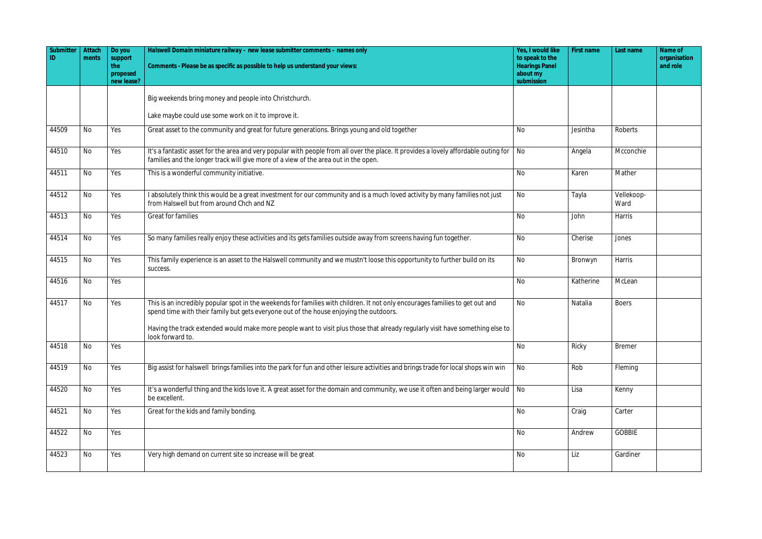| Submitter<br>ID | Attach<br>ments | Do you<br>support<br>the<br>proposed | Halswell Domain miniature railway - new lease submitter comments - names only<br>Comments - Please be as specific as possible to help us understand your views:                                                             | Yes, I would like<br>to speak to the<br><b>Hearings Panel</b><br>about my | First name | Last name          | Name of<br>organisation<br>and role |
|-----------------|-----------------|--------------------------------------|-----------------------------------------------------------------------------------------------------------------------------------------------------------------------------------------------------------------------------|---------------------------------------------------------------------------|------------|--------------------|-------------------------------------|
|                 |                 | new lease?                           |                                                                                                                                                                                                                             | submission                                                                |            |                    |                                     |
|                 |                 |                                      | Big weekends bring money and people into Christchurch.                                                                                                                                                                      |                                                                           |            |                    |                                     |
|                 |                 |                                      | Lake maybe could use some work on it to improve it.                                                                                                                                                                         |                                                                           |            |                    |                                     |
| 44509           | No              | Yes                                  | Great asset to the community and great for future generations. Brings young and old together                                                                                                                                | No                                                                        | Jesintha   | Roberts            |                                     |
| 44510           | No              | Yes                                  | It's a fantastic asset for the area and very popular with people from all over the place. It provides a lovely affordable outing for<br>families and the longer track will give more of a view of the area out in the open. | No                                                                        | Angela     | Mcconchie          |                                     |
| 44511           | No              | Yes                                  | This is a wonderful community initiative.                                                                                                                                                                                   | No                                                                        | Karen      | Mather             |                                     |
| 44512           | No              | Yes                                  | I absolutely think this would be a great investment for our community and is a much loved activity by many families not just<br>from Halswell but from around Chch and NZ                                                   | No                                                                        | Tayla      | Vellekoop-<br>Ward |                                     |
| 44513           | <b>No</b>       | Yes                                  | Great for families                                                                                                                                                                                                          | <b>No</b>                                                                 | John       | <b>Harris</b>      |                                     |
| 44514           | No              | Yes                                  | So many families really enjoy these activities and its gets families outside away from screens having fun together.                                                                                                         | No                                                                        | Cherise    | Jones              |                                     |
| 44515           | No              | Yes                                  | This family experience is an asset to the Halswell community and we mustn't loose this opportunity to further build on its<br>success.                                                                                      | <b>No</b>                                                                 | Bronwyn    | Harris             |                                     |
| 44516           | No              | Yes                                  |                                                                                                                                                                                                                             | <b>No</b>                                                                 | Katherine  | McLean             |                                     |
| 44517           | <b>No</b>       | Yes                                  | This is an incredibly popular spot in the weekends for families with children. It not only encourages families to get out and<br>spend time with their family but gets everyone out of the house enjoying the outdoors.     | No                                                                        | Natalia    | <b>Boers</b>       |                                     |
|                 |                 |                                      | Having the track extended would make more people want to visit plus those that already regularly visit have something else to<br>look forward to.                                                                           |                                                                           |            |                    |                                     |
| 44518           | No              | Yes                                  |                                                                                                                                                                                                                             | No                                                                        | Ricky      | <b>Bremer</b>      |                                     |
| 44519           | No              | Yes                                  | Big assist for halswell brings families into the park for fun and other leisure activities and brings trade for local shops win win                                                                                         | No                                                                        | Rob        | Fleming            |                                     |
| 44520           | No              | Yes                                  | It's a wonderful thing and the kids love it. A great asset for the domain and community, we use it often and being larger would<br>be excellent.                                                                            | No                                                                        | Lisa       | Kenny              |                                     |
| 44521           | No              | Yes                                  | Great for the kids and family bonding.                                                                                                                                                                                      | No                                                                        | Craig      | Carter             |                                     |
| 44522           | No              | Yes                                  |                                                                                                                                                                                                                             | No                                                                        | Andrew     | <b>GOBBIE</b>      |                                     |
| 44523           | No              | Yes                                  | Very high demand on current site so increase will be great                                                                                                                                                                  | No                                                                        | Liz        | Gardiner           |                                     |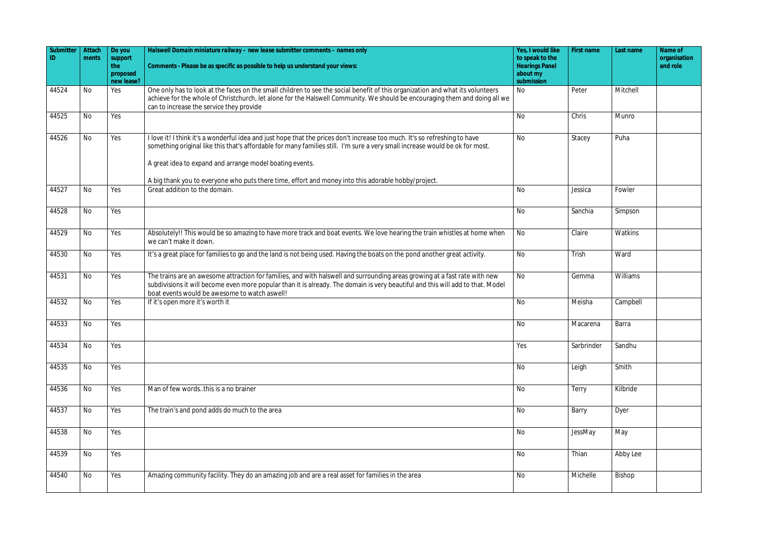| Submitter<br>ID | Attach<br>ments | Do you<br>support<br>the<br>proposed<br>new lease? | Halswell Domain miniature railway - new lease submitter comments - names only<br>Comments - Please be as specific as possible to help us understand your views:                                                                                                                                                        | Yes, I would like<br>to speak to the<br><b>Hearings Panel</b><br>about my<br>submission | First name | Last name | Name of<br>organisation<br>and role |
|-----------------|-----------------|----------------------------------------------------|------------------------------------------------------------------------------------------------------------------------------------------------------------------------------------------------------------------------------------------------------------------------------------------------------------------------|-----------------------------------------------------------------------------------------|------------|-----------|-------------------------------------|
| 44524           | <b>No</b>       | Yes                                                | One only has to look at the faces on the small children to see the social benefit of this organization and what its volunteers<br>achieve for the whole of Christchurch, let alone for the Halswell Community. We should be encouraging them and doing all we<br>can to increase the service they provide              | No                                                                                      | Peter      | Mitchell  |                                     |
| 44525           | No              | Yes                                                |                                                                                                                                                                                                                                                                                                                        | No                                                                                      | Chris      | Munro     |                                     |
| 44526           | <b>No</b>       | Yes                                                | I love it! I think it's a wonderful idea and just hope that the prices don't increase too much. It's so refreshing to have<br>something original like this that's affordable for many families still. I'm sure a very small increase would be ok for most.<br>A great idea to expand and arrange model boating events. | <b>No</b>                                                                               | Stacey     | Puha      |                                     |
| 44527           | <b>No</b>       | Yes                                                | A big thank you to everyone who puts there time, effort and money into this adorable hobby/project.<br>Great addition to the domain.                                                                                                                                                                                   | No                                                                                      | Jessica    | Fowler    |                                     |
|                 |                 |                                                    |                                                                                                                                                                                                                                                                                                                        |                                                                                         |            |           |                                     |
| 44528           | No              | Yes                                                |                                                                                                                                                                                                                                                                                                                        | <b>No</b>                                                                               | Sanchia    | Simpson   |                                     |
| 44529           | No              | Yes                                                | Absolutely!! This would be so amazing to have more track and boat events. We love hearing the train whistles at home when<br>we can't make it down.                                                                                                                                                                    | No                                                                                      | Claire     | Watkins   |                                     |
| 44530           | No              | Yes                                                | It's a great place for families to go and the land is not being used. Having the boats on the pond another great activity.                                                                                                                                                                                             | No                                                                                      | Trish      | Ward      |                                     |
| 44531           | No              | Yes                                                | The trains are an awesome attraction for families, and with halswell and surrounding areas growing at a fast rate with new<br>subdivisions it will become even more popular than it is already. The domain is very beautiful and this will add to that. Model<br>boat events would be awesome to watch aswell!         | <b>No</b>                                                                               | Gemma      | Williams  |                                     |
| 44532           | No              | Yes                                                | If it's open more it's worth it                                                                                                                                                                                                                                                                                        | <b>No</b>                                                                               | Meisha     | Campbell  |                                     |
| 44533           | No              | Yes                                                |                                                                                                                                                                                                                                                                                                                        | <b>No</b>                                                                               | Macarena   | Barra     |                                     |
| 44534           | No              | Yes                                                |                                                                                                                                                                                                                                                                                                                        | Yes                                                                                     | Sarbrinder | Sandhu    |                                     |
| 44535           | No              | Yes                                                |                                                                                                                                                                                                                                                                                                                        | <b>No</b>                                                                               | Leigh      | Smith     |                                     |
| 44536           | No              | Yes                                                | Man of few words. this is a no brainer                                                                                                                                                                                                                                                                                 | No                                                                                      | Terry      | Kilbride  |                                     |
| 44537           | No              | Yes                                                | The train's and pond adds do much to the area                                                                                                                                                                                                                                                                          | <b>No</b>                                                                               | Barry      | Dyer      |                                     |
| 44538           | No              | Yes                                                |                                                                                                                                                                                                                                                                                                                        | <b>No</b>                                                                               | JessMay    | May       |                                     |
| 44539           | No              | Yes                                                |                                                                                                                                                                                                                                                                                                                        | No                                                                                      | Thian      | Abby Lee  |                                     |
| 44540           | No              | Yes                                                | Amazing community facility. They do an amazing job and are a real asset for families in the area                                                                                                                                                                                                                       | No                                                                                      | Michelle   | Bishop    |                                     |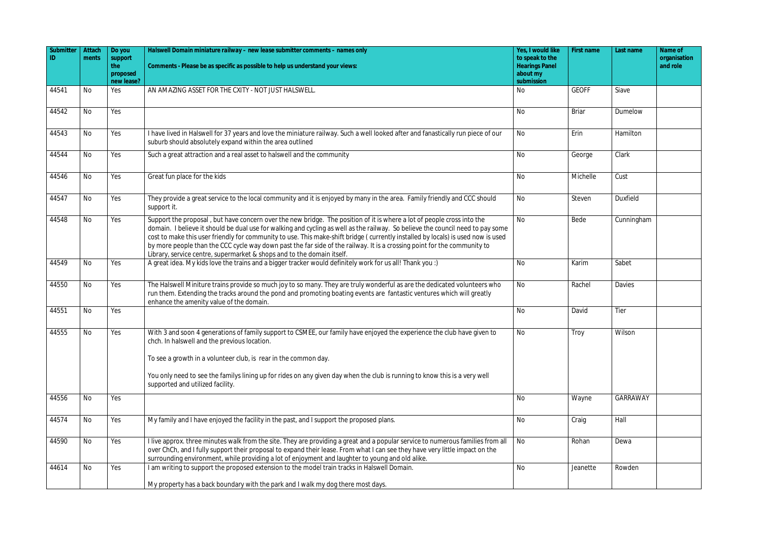| Submitter | Attach    | Do you         | Halswell Domain miniature railway - new lease submitter comments - names only                                                                                                                                                                                                                                                                                                                                                                                                                                                                                                                       | Yes, I would like                        | First name   | Last name       | Name of                  |
|-----------|-----------|----------------|-----------------------------------------------------------------------------------------------------------------------------------------------------------------------------------------------------------------------------------------------------------------------------------------------------------------------------------------------------------------------------------------------------------------------------------------------------------------------------------------------------------------------------------------------------------------------------------------------------|------------------------------------------|--------------|-----------------|--------------------------|
| ID        | ments     | support<br>the | Comments - Please be as specific as possible to help us understand your views:                                                                                                                                                                                                                                                                                                                                                                                                                                                                                                                      | to speak to the<br><b>Hearings Panel</b> |              |                 | organisation<br>and role |
|           |           | proposed       |                                                                                                                                                                                                                                                                                                                                                                                                                                                                                                                                                                                                     | about my                                 |              |                 |                          |
|           |           | new lease?     |                                                                                                                                                                                                                                                                                                                                                                                                                                                                                                                                                                                                     | submission                               |              |                 |                          |
| 44541     | <b>No</b> | Yes            | AN AMAZING ASSET FOR THE CXITY - NOT JUST HALSWELL.                                                                                                                                                                                                                                                                                                                                                                                                                                                                                                                                                 | No                                       | <b>GEOFF</b> | Siave           |                          |
| 44542     | No        | Yes            |                                                                                                                                                                                                                                                                                                                                                                                                                                                                                                                                                                                                     | <b>No</b>                                | <b>Briar</b> | Dumelow         |                          |
| 44543     | No        | Yes            | I have lived in Halswell for 37 years and love the miniature railway. Such a well looked after and fanastically run piece of our<br>suburb should absolutely expand within the area outlined                                                                                                                                                                                                                                                                                                                                                                                                        | No                                       | Erin         | Hamilton        |                          |
| 44544     | <b>No</b> | Yes            | Such a great attraction and a real asset to halswell and the community                                                                                                                                                                                                                                                                                                                                                                                                                                                                                                                              | No                                       | George       | Clark           |                          |
| 44546     | No        | Yes            | Great fun place for the kids                                                                                                                                                                                                                                                                                                                                                                                                                                                                                                                                                                        | <b>No</b>                                | Michelle     | Cust            |                          |
| 44547     | No        | Yes            | They provide a great service to the local community and it is enjoyed by many in the area. Family friendly and CCC should<br>support it.                                                                                                                                                                                                                                                                                                                                                                                                                                                            | No                                       | Steven       | <b>Duxfield</b> |                          |
| 44548     | No        | Yes            | Support the proposal, but have concern over the new bridge. The position of it is where a lot of people cross into the<br>domain. I believe it should be dual use for walking and cycling as well as the railway. So believe the council need to pay some<br>cost to make this user friendly for community to use. This make-shift bridge (currently installed by locals) is used now is used<br>by more people than the CCC cycle way down past the far side of the railway. It is a crossing point for the community to<br>Library, service centre, supermarket & shops and to the domain itself. | <b>No</b>                                | Bede         | Cunningham      |                          |
| 44549     | No        | Yes            | A great idea. My kids love the trains and a bigger tracker would definitely work for us all! Thank you :)                                                                                                                                                                                                                                                                                                                                                                                                                                                                                           | <b>No</b>                                | Karim        | Sabet           |                          |
| 44550     | No        | Yes            | The Halswell Miniture trains provide so much joy to so many. They are truly wonderful as are the dedicated volunteers who<br>run them. Extending the tracks around the pond and promoting boating events are fantastic ventures which will greatly<br>enhance the amenity value of the domain.                                                                                                                                                                                                                                                                                                      | <b>No</b>                                | Rachel       | Davies          |                          |
| 44551     | No        | Yes            |                                                                                                                                                                                                                                                                                                                                                                                                                                                                                                                                                                                                     | No                                       | David        | Tier            |                          |
| 44555     | No        | Yes            | With 3 and soon 4 generations of family support to CSMEE, our family have enjoyed the experience the club have given to<br>chch. In halswell and the previous location.<br>To see a growth in a volunteer club, is rear in the common day.                                                                                                                                                                                                                                                                                                                                                          | No                                       | Troy         | Wilson          |                          |
|           |           |                | You only need to see the familys lining up for rides on any given day when the club is running to know this is a very well<br>supported and utilized facility.                                                                                                                                                                                                                                                                                                                                                                                                                                      |                                          |              |                 |                          |
| 44556     | No        | Yes            |                                                                                                                                                                                                                                                                                                                                                                                                                                                                                                                                                                                                     | No                                       | Wayne        | GARRAWAY        |                          |
| 44574     | No        | Yes            | My family and I have enjoyed the facility in the past, and I support the proposed plans.                                                                                                                                                                                                                                                                                                                                                                                                                                                                                                            | No                                       | Craig        | Hall            |                          |
| 44590     | No        | Yes            | I live approx. three minutes walk from the site. They are providing a great and a popular service to numerous families from all<br>over ChCh, and I fully support their proposal to expand their lease. From what I can see they have very little impact on the<br>surrounding environment, while providing a lot of enjoyment and laughter to young and old alike.                                                                                                                                                                                                                                 | No                                       | Rohan        | Dewa            |                          |
| 44614     | No        | Yes            | I am writing to support the proposed extension to the model train tracks in Halswell Domain.                                                                                                                                                                                                                                                                                                                                                                                                                                                                                                        | <b>No</b>                                | Jeanette     | Rowden          |                          |
|           |           |                | My property has a back boundary with the park and I walk my dog there most days.                                                                                                                                                                                                                                                                                                                                                                                                                                                                                                                    |                                          |              |                 |                          |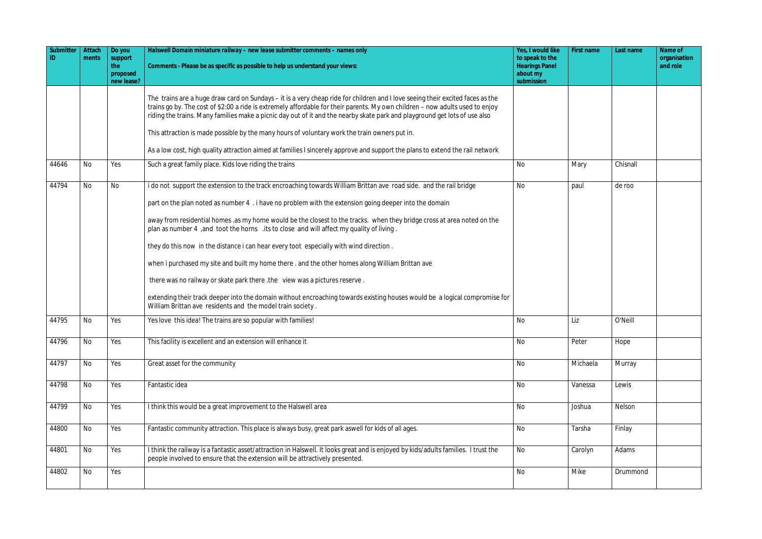| Submitter | Attach<br>ments | Do you<br>support<br>the<br>proposed<br>new lease? | Halswell Domain miniature railway - new lease submitter comments - names only<br>Comments - Please be as specific as possible to help us understand your views:                                                                                                                                                                                                                               | Yes, I would like<br>to speak to the<br><b>Hearings Panel</b><br>about my<br>submission | First name | Last name | Name of<br>organisation<br>and role |
|-----------|-----------------|----------------------------------------------------|-----------------------------------------------------------------------------------------------------------------------------------------------------------------------------------------------------------------------------------------------------------------------------------------------------------------------------------------------------------------------------------------------|-----------------------------------------------------------------------------------------|------------|-----------|-------------------------------------|
|           |                 |                                                    | The trains are a huge draw card on Sundays – it is a very cheap ride for children and I love seeing their excited faces as the<br>trains go by. The cost of \$2:00 a ride is extremely affordable for their parents. My own children - now adults used to enjoy<br>riding the trains. Many families make a picnic day out of it and the nearby skate park and playground get lots of use also |                                                                                         |            |           |                                     |
|           |                 |                                                    | This attraction is made possible by the many hours of voluntary work the train owners put in.                                                                                                                                                                                                                                                                                                 |                                                                                         |            |           |                                     |
|           |                 |                                                    | As a low cost, high quality attraction aimed at families I sincerely approve and support the plans to extend the rail network                                                                                                                                                                                                                                                                 |                                                                                         |            |           |                                     |
| 44646     | <b>No</b>       | Yes                                                | Such a great family place. Kids love riding the trains                                                                                                                                                                                                                                                                                                                                        | <b>No</b>                                                                               | Mary       | Chisnall  |                                     |
| 44794     | <b>No</b>       | No                                                 | i do not support the extension to the track encroaching towards William Brittan ave road side. and the rail bridge                                                                                                                                                                                                                                                                            | No                                                                                      | paul       | de roo    |                                     |
|           |                 |                                                    | part on the plan noted as number 4 . i have no problem with the extension going deeper into the domain                                                                                                                                                                                                                                                                                        |                                                                                         |            |           |                                     |
|           |                 |                                                    | away from residential homes .as my home would be the closest to the tracks. when they bridge cross at area noted on the<br>plan as number 4, and toot the horns lits to close and will affect my quality of living.                                                                                                                                                                           |                                                                                         |            |           |                                     |
|           |                 |                                                    | they do this now in the distance i can hear every toot especially with wind direction.                                                                                                                                                                                                                                                                                                        |                                                                                         |            |           |                                     |
|           |                 |                                                    | when i purchased my site and built my home there . and the other homes along William Brittan ave                                                                                                                                                                                                                                                                                              |                                                                                         |            |           |                                     |
|           |                 |                                                    | there was no railway or skate park there .the view was a pictures reserve.                                                                                                                                                                                                                                                                                                                    |                                                                                         |            |           |                                     |
|           |                 |                                                    | extending their track deeper into the domain without encroaching towards existing houses would be a logical compromise for<br>William Brittan ave residents and the model train society.                                                                                                                                                                                                      |                                                                                         |            |           |                                     |
| 44795     | No              | Yes                                                | Yes love this idea! The trains are so popular with families!                                                                                                                                                                                                                                                                                                                                  | No                                                                                      | Liz        | O'Neill   |                                     |
| 44796     | <b>No</b>       | Yes                                                | This facility is excellent and an extension will enhance it                                                                                                                                                                                                                                                                                                                                   | No                                                                                      | Peter      | Hope      |                                     |
| 44797     | <b>No</b>       | Yes                                                | Great asset for the community                                                                                                                                                                                                                                                                                                                                                                 | No                                                                                      | Michaela   | Murray    |                                     |
| 44798     | <b>No</b>       | Yes                                                | Fantastic idea                                                                                                                                                                                                                                                                                                                                                                                | <b>No</b>                                                                               | Vanessa    | Lewis     |                                     |
| 44799     | No              | Yes                                                | I think this would be a great improvement to the Halswell area                                                                                                                                                                                                                                                                                                                                | No                                                                                      | Joshua     | Nelson    |                                     |
| 44800     | <b>No</b>       | Yes                                                | Fantastic community attraction. This place is always busy, great park aswell for kids of all ages.                                                                                                                                                                                                                                                                                            | No                                                                                      | Tarsha     | Finlay    |                                     |
| 44801     | <b>No</b>       | Yes                                                | I think the railway is a fantastic asset/attraction in Halswell. It looks great and is enjoyed by kids/adults families. I trust the<br>people involved to ensure that the extension will be attractively presented.                                                                                                                                                                           | <b>No</b>                                                                               | Carolyn    | Adams     |                                     |
| 44802     | No              | Yes                                                |                                                                                                                                                                                                                                                                                                                                                                                               | No                                                                                      | Mike       | Drummond  |                                     |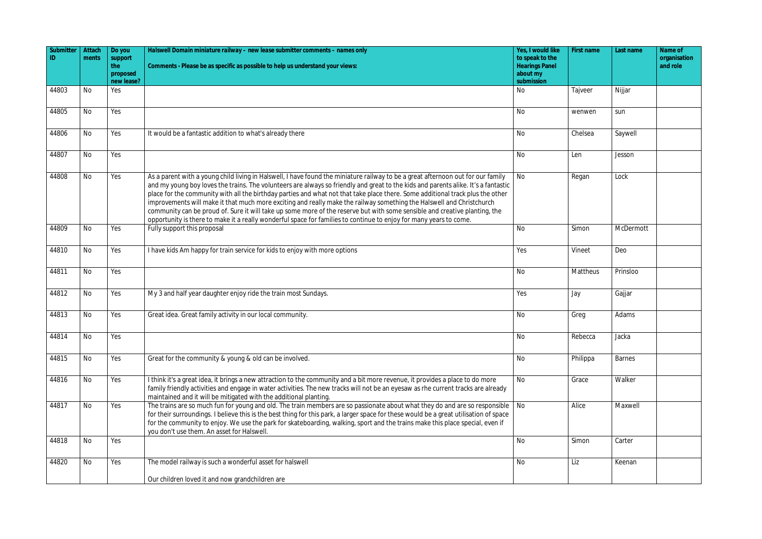| Submitter<br>ID | Attach<br>ments | Do you<br>support             | Halswell Domain miniature railway - new lease submitter comments - names only                                                                                                                                                                                                                                                                                                                                                                                                                                                                                                                                                                                                                                                                                                         | Yes, I would like<br>to speak to the            | First name | Last name     | Name of<br>organisation |
|-----------------|-----------------|-------------------------------|---------------------------------------------------------------------------------------------------------------------------------------------------------------------------------------------------------------------------------------------------------------------------------------------------------------------------------------------------------------------------------------------------------------------------------------------------------------------------------------------------------------------------------------------------------------------------------------------------------------------------------------------------------------------------------------------------------------------------------------------------------------------------------------|-------------------------------------------------|------------|---------------|-------------------------|
|                 |                 | the<br>proposed<br>new lease? | Comments - Please be as specific as possible to help us understand your views:                                                                                                                                                                                                                                                                                                                                                                                                                                                                                                                                                                                                                                                                                                        | <b>Hearings Panel</b><br>about my<br>submission |            |               | and role                |
| 44803           | No              | Yes                           |                                                                                                                                                                                                                                                                                                                                                                                                                                                                                                                                                                                                                                                                                                                                                                                       | No                                              | Tajveer    | Nijjar        |                         |
| 44805           | No              | Yes                           |                                                                                                                                                                                                                                                                                                                                                                                                                                                                                                                                                                                                                                                                                                                                                                                       | <b>No</b>                                       | wenwen     | sun           |                         |
| 44806           | No              | Yes                           | It would be a fantastic addition to what's already there                                                                                                                                                                                                                                                                                                                                                                                                                                                                                                                                                                                                                                                                                                                              | <b>No</b>                                       | Chelsea    | Saywell       |                         |
| 44807           | <b>No</b>       | Yes                           |                                                                                                                                                                                                                                                                                                                                                                                                                                                                                                                                                                                                                                                                                                                                                                                       | <b>No</b>                                       | Len        | Jesson        |                         |
| 44808           | No              | Yes                           | As a parent with a young child living in Halswell, I have found the miniature railway to be a great afternoon out for our family<br>and my young boy loves the trains. The volunteers are always so friendly and great to the kids and parents alike. It's a fantastic<br>place for the community with all the birthday parties and what not that take place there. Some additional track plus the other<br>improvements will make it that much more exciting and really make the railway something the Halswell and Christchurch<br>community can be proud of. Sure it will take up some more of the reserve but with some sensible and creative planting, the<br>opportunity is there to make it a really wonderful space for families to continue to enjoy for many years to come. | <b>No</b>                                       | Regan      | Lock          |                         |
| 44809           | No              | Yes                           | Fully support this proposal                                                                                                                                                                                                                                                                                                                                                                                                                                                                                                                                                                                                                                                                                                                                                           | <b>No</b>                                       | Simon      | McDermott     |                         |
| 44810           | No              | Yes                           | I have kids Am happy for train service for kids to enjoy with more options                                                                                                                                                                                                                                                                                                                                                                                                                                                                                                                                                                                                                                                                                                            | Yes                                             | Vineet     | Deo           |                         |
| 44811           | <b>No</b>       | Yes                           |                                                                                                                                                                                                                                                                                                                                                                                                                                                                                                                                                                                                                                                                                                                                                                                       | <b>No</b>                                       | Mattheus   | Prinsloo      |                         |
| 44812           | No              | Yes                           | My 3 and half year daughter enjoy ride the train most Sundays.                                                                                                                                                                                                                                                                                                                                                                                                                                                                                                                                                                                                                                                                                                                        | Yes                                             | Jay        | Gajjar        |                         |
| 44813           | No              | Yes                           | Great idea. Great family activity in our local community.                                                                                                                                                                                                                                                                                                                                                                                                                                                                                                                                                                                                                                                                                                                             | No                                              | Greg       | Adams         |                         |
| 44814           | <b>No</b>       | Yes                           |                                                                                                                                                                                                                                                                                                                                                                                                                                                                                                                                                                                                                                                                                                                                                                                       | <b>No</b>                                       | Rebecca    | Jacka         |                         |
| 44815           | No              | Yes                           | Great for the community & young & old can be involved.                                                                                                                                                                                                                                                                                                                                                                                                                                                                                                                                                                                                                                                                                                                                | No                                              | Philippa   | <b>Barnes</b> |                         |
| 44816           | No              | Yes                           | I think it's a great idea, it brings a new attraction to the community and a bit more revenue, it provides a place to do more<br>family friendly activities and engage in water activities. The new tracks will not be an eyesaw as rhe current tracks are already<br>maintained and it will be mitigated with the additional planting.                                                                                                                                                                                                                                                                                                                                                                                                                                               | <b>No</b>                                       | Grace      | Walker        |                         |
| 44817           | No              | Yes                           | The trains are so much fun for young and old. The train members are so passionate about what they do and are so responsible<br>for their surroundings. I believe this is the best thing for this park, a larger space for these would be a great utilisation of space<br>for the community to enjoy. We use the park for skateboarding, walking, sport and the trains make this place special, even if<br>you don't use them. An asset for Halswell.                                                                                                                                                                                                                                                                                                                                  | <b>No</b>                                       | Alice      | Maxwell       |                         |
| 44818           | <b>No</b>       | Yes                           |                                                                                                                                                                                                                                                                                                                                                                                                                                                                                                                                                                                                                                                                                                                                                                                       | <b>No</b>                                       | Simon      | Carter        |                         |
| 44820           | No              | Yes                           | The model railway is such a wonderful asset for halswell                                                                                                                                                                                                                                                                                                                                                                                                                                                                                                                                                                                                                                                                                                                              | <b>No</b>                                       | Liz        | Keenan        |                         |
|                 |                 |                               | Our children loved it and now grandchildren are                                                                                                                                                                                                                                                                                                                                                                                                                                                                                                                                                                                                                                                                                                                                       |                                                 |            |               |                         |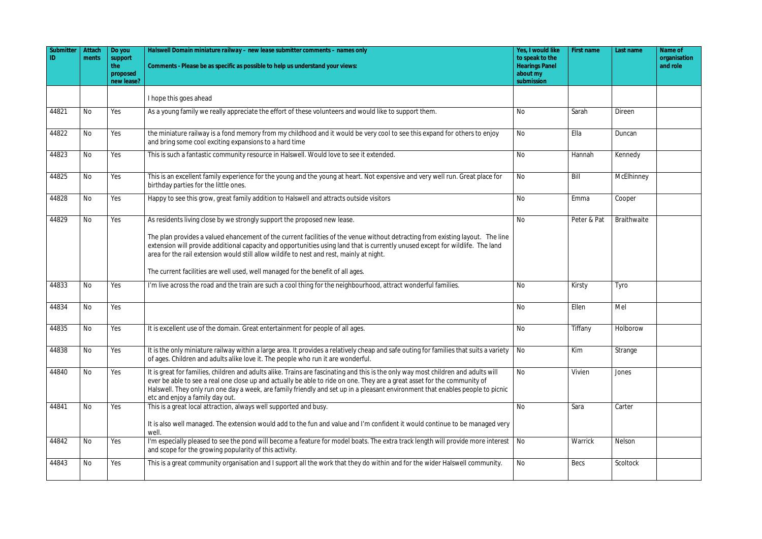| Submitter<br>ID. | Attach<br>ments | Do you<br>support      | Halswell Domain miniature railway - new lease submitter comments - names only                                                                                                                                                                                                                                                                                                                                                       | Yes, I would like<br>to speak to the | First name  | Last name   | Name of<br>organisation |
|------------------|-----------------|------------------------|-------------------------------------------------------------------------------------------------------------------------------------------------------------------------------------------------------------------------------------------------------------------------------------------------------------------------------------------------------------------------------------------------------------------------------------|--------------------------------------|-------------|-------------|-------------------------|
|                  |                 | the                    | Comments - Please be as specific as possible to help us understand your views:                                                                                                                                                                                                                                                                                                                                                      | <b>Hearings Panel</b>                |             |             | and role                |
|                  |                 | proposed<br>new lease? |                                                                                                                                                                                                                                                                                                                                                                                                                                     | about my<br>submission               |             |             |                         |
|                  |                 |                        | I hope this goes ahead                                                                                                                                                                                                                                                                                                                                                                                                              |                                      |             |             |                         |
| 44821            | <b>No</b>       | Yes                    | As a young family we really appreciate the effort of these volunteers and would like to support them.                                                                                                                                                                                                                                                                                                                               | <b>No</b>                            | Sarah       | Direen      |                         |
| 44822            | <b>No</b>       | Yes                    | the miniature railway is a fond memory from my childhood and it would be very cool to see this expand for others to enjoy<br>and bring some cool exciting expansions to a hard time                                                                                                                                                                                                                                                 | No                                   | Ella        | Duncan      |                         |
| 44823            | No              | Yes                    | This is such a fantastic community resource in Halswell. Would love to see it extended.                                                                                                                                                                                                                                                                                                                                             | <b>No</b>                            | Hannah      | Kennedy     |                         |
| 44825            | No              | Yes                    | This is an excellent family experience for the young and the young at heart. Not expensive and very well run. Great place for<br>birthday parties for the little ones.                                                                                                                                                                                                                                                              | No                                   | Bill        | McElhinney  |                         |
| 44828            | <b>No</b>       | Yes                    | Happy to see this grow, great family addition to Halswell and attracts outside visitors                                                                                                                                                                                                                                                                                                                                             | <b>No</b>                            | Emma        | Cooper      |                         |
| 44829            | No              | Yes                    | As residents living close by we strongly support the proposed new lease.                                                                                                                                                                                                                                                                                                                                                            | <b>No</b>                            | Peter & Pat | Braithwaite |                         |
|                  |                 |                        | The plan provides a valued ehancement of the current facilities of the venue without detracting from existing layout. The line<br>extension will provide additional capacity and opportunities using land that is currently unused except for wildlife. The land<br>area for the rail extension would still allow wildife to nest and rest, mainly at night.                                                                        |                                      |             |             |                         |
|                  |                 |                        | The current facilities are well used, well managed for the benefit of all ages.                                                                                                                                                                                                                                                                                                                                                     |                                      |             |             |                         |
| 44833            | No              | Yes                    | I'm live across the road and the train are such a cool thing for the neighbourhood, attract wonderful families.                                                                                                                                                                                                                                                                                                                     | No                                   | Kirsty      | Tyro        |                         |
| 44834            | No              | Yes                    |                                                                                                                                                                                                                                                                                                                                                                                                                                     | <b>No</b>                            | Ellen       | Mel         |                         |
| 44835            | No              | Yes                    | It is excellent use of the domain. Great entertainment for people of all ages.                                                                                                                                                                                                                                                                                                                                                      | <b>No</b>                            | Tiffany     | Holborow    |                         |
| 44838            | No              | Yes                    | It is the only miniature railway within a large area. It provides a relatively cheap and safe outing for families that suits a variety<br>of ages. Children and adults alike love it. The people who run it are wonderful.                                                                                                                                                                                                          | No                                   | Kim         | Strange     |                         |
| 44840            | <b>No</b>       | Yes                    | It is great for families, children and adults alike. Trains are fascinating and this is the only way most children and adults will<br>ever be able to see a real one close up and actually be able to ride on one. They are a great asset for the community of<br>Halswell. They only run one day a week, are family friendly and set up in a pleasant environment that enables people to picnic<br>etc and enjoy a family day out. | <b>No</b>                            | Vivien      | Jones       |                         |
| 44841            | <b>No</b>       | Yes                    | This is a great local attraction, always well supported and busy.<br>It is also well managed. The extension would add to the fun and value and I'm confident it would continue to be managed very<br>well.                                                                                                                                                                                                                          | <b>No</b>                            | Sara        | Carter      |                         |
| 44842            | No              | Yes                    | I'm especially pleased to see the pond will become a feature for model boats. The extra track length will provide more interest<br>and scope for the growing popularity of this activity.                                                                                                                                                                                                                                           | <b>No</b>                            | Warrick     | Nelson      |                         |
| 44843            | No              | Yes                    | This is a great community organisation and I support all the work that they do within and for the wider Halswell community.                                                                                                                                                                                                                                                                                                         | No                                   | Becs        | Scoltock    |                         |